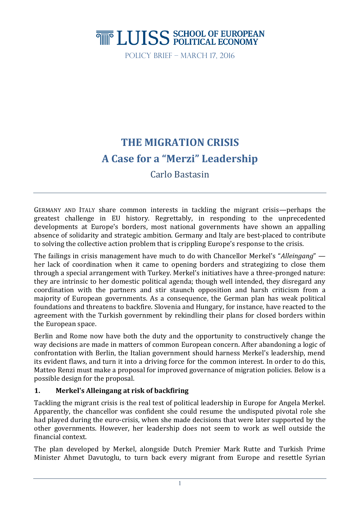# **THE LUISS SCHOOL OF EUROPEAN**

Policy Brief – March 17, 2016

## **THE MIGRATION CRISIS A Case for a "Merzi" Leadership**

Carlo Bastasin

GERMANY AND ITALY share common interests in tackling the migrant crisis—perhaps the greatest challenge in EU history. Regrettably, in responding to the unprecedented developments at Europe's borders, most national governments have shown an appalling absence of solidarity and strategic ambition. Germany and Italy are best-placed to contribute to solving the collective action problem that is crippling Europe's response to the crisis.

The failings in crisis management have much to do with Chancellor Merkel's "*Alleingang*" her lack of coordination when it came to opening borders and strategizing to close them through a special arrangement with Turkey. Merkel's initiatives have a three-pronged nature: they are intrinsic to her domestic political agenda; though well intended, they disregard any coordination with the partners and stir staunch opposition and harsh criticism from a majority of European governments. As a consequence, the German plan has weak political foundations and threatens to backfire. Slovenia and Hungary, for instance, have reacted to the agreement with the Turkish government by rekindling their plans for closed borders within the European space.

Berlin and Rome now have both the duty and the opportunity to constructively change the way decisions are made in matters of common European concern. After abandoning a logic of confrontation with Berlin, the Italian government should harness Merkel's leadership, mend its evident flaws, and turn it into a driving force for the common interest. In order to do this, Matteo Renzi must make a proposal for improved governance of migration policies. Below is a possible design for the proposal.

#### **1. Merkel's Alleingang at risk of backfiring**

Tackling the migrant crisis is the real test of political leadership in Europe for Angela Merkel. Apparently, the chancellor was confident she could resume the undisputed pivotal role she had played during the euro-crisis, when she made decisions that were later supported by the other governments. However, her leadership does not seem to work as well outside the financial context.

The plan developed by Merkel, alongside Dutch Premier Mark Rutte and Turkish Prime Minister Ahmet Davutoglu, to turn back every migrant from Europe and resettle Syrian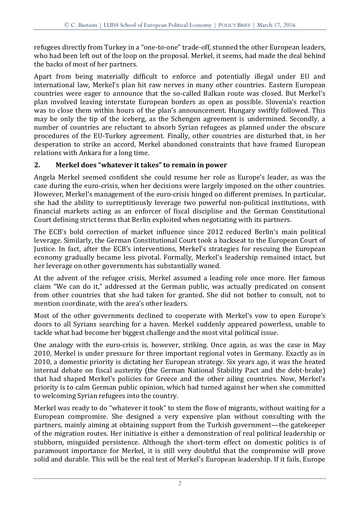refugees directly from Turkey in a "one-to-one" trade-off, stunned the other European leaders, who had been left out of the loop on the proposal. Merkel, it seems, had made the deal behind the backs of most of her partners.

Apart from being materially difficult to enforce and potentially illegal under EU and international law, Merkel's plan hit raw nerves in many other countries. Eastern European countries were eager to announce that the so-called Balkan route was closed. But Merkel's plan involved leaving interstate European borders as open as possible. Slovenia's reaction was to close them within hours of the plan's announcement. Hungary swiftly followed. This may be only the tip of the iceberg, as the Schengen agreement is undermined. Secondly, a number of countries are reluctant to absorb Syrian refugees as planned under the obscure procedures of the EU-Turkey agreement. Finally, other countries are disturbed that, in her desperation to strike an accord, Merkel abandoned constraints that have framed European relations with Ankara for a long time.

### **2. Merkel does "whatever it takes" to remain in power**

Angela Merkel seemed confident she could resume her role as Europe's leader, as was the case during the euro-crisis, when her decisions were largely imposed on the other countries. However, Merkel's management of the euro-crisis hinged on different premises. In particular, she had the ability to surreptitiously leverage two powerful non-political institutions, with financial markets acting as an enforcer of fiscal discipline and the German Constitutional Court defining strict terms that Berlin exploited when negotiating with its partners.

The ECB's bold correction of market influence since 2012 reduced Berlin's main political leverage. Similarly, the German Constitutional Court took a backseat to the European Court of Justice. In fact, after the ECB's interventions, Merkel's strategies for rescuing the European economy gradually became less pivotal. Formally, Merkel's leadership remained intact, but her leverage on other governments has substantially waned.

At the advent of the refugee crisis, Merkel assumed a leading role once more. Her famous claim "We can do it," addressed at the German public, was actually predicated on consent from other countries that she had taken for granted. She did not bother to consult, not to mention coordinate, with the area's other leaders.

Most of the other governments declined to cooperate with Merkel's vow to open Europe's doors to all Syrians searching for a haven. Merkel suddenly appeared powerless, unable to tackle what had become her biggest challenge and the most vital political issue.

One analogy with the euro-crisis is, however, striking. Once again, as was the case in May 2010, Merkel is under pressure for three important regional votes in Germany. Exactly as in 2010, a domestic priority is dictating her European strategy. Six years ago, it was the heated internal debate on fiscal austerity (the German National Stability Pact and the debt-brake) that had shaped Merkel's policies for Greece and the other ailing countries. Now, Merkel's priority is to calm German public opinion, which had turned against her when she committed to welcoming Syrian refugees into the country.

Merkel was ready to do "whatever it took" to stem the flow of migrants, without waiting for a European compromise. She designed a very expensive plan without consulting with the partners, mainly aiming at obtaining support from the Turkish government—the gatekeeper of the migration routes. Her initiative is either a demonstration of real political leadership or stubborn, misguided persistence. Although the short-term effect on domestic politics is of paramount importance for Merkel, it is still very doubtful that the compromise will prove solid and durable. This will be the real test of Merkel's European leadership. If it fails, Europe